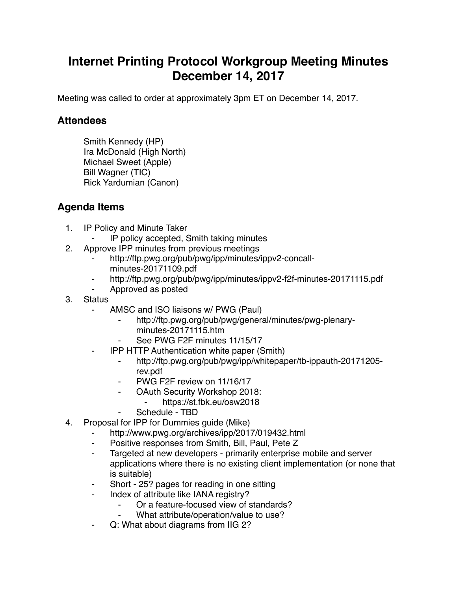## **Internet Printing Protocol Workgroup Meeting Minutes December 14, 2017**

Meeting was called to order at approximately 3pm ET on December 14, 2017.

## **Attendees**

Smith Kennedy (HP) Ira McDonald (High North) Michael Sweet (Apple) Bill Wagner (TIC) Rick Yardumian (Canon)

## **Agenda Items**

- 1. IP Policy and Minute Taker
	- ⁃ IP policy accepted, Smith taking minutes
- 2. Approve IPP minutes from previous meetings
	- http://ftp.pwg.org/pub/pwg/ipp/minutes/ippv2-concallminutes-20171109.pdf
	- http://ftp.pwg.org/pub/pwg/ipp/minutes/ippv2-f2f-minutes-20171115.pdf
	- ⁃ Approved as posted
- 3. Status
	- ⁃ AMSC and ISO liaisons w/ PWG (Paul)
		- http://ftp.pwg.org/pub/pwg/general/minutes/pwg-plenaryminutes-20171115.htm
		- See PWG F2F minutes 11/15/17
	- **IPP HTTP Authentication white paper (Smith)** 
		- ⁃ http://ftp.pwg.org/pub/pwg/ipp/whitepaper/tb-ippauth-20171205 rev.pdf
		- PWG F2F review on 11/16/17
		- ⁃ OAuth Security Workshop 2018:
			- ⁃ https://st.fbk.eu/osw2018
			- Schedule TBD
- 4. Proposal for IPP for Dummies guide (Mike)
	- http://www.pwg.org/archives/ipp/2017/019432.html
	- ⁃ Positive responses from Smith, Bill, Paul, Pete Z
	- ⁃ Targeted at new developers primarily enterprise mobile and server applications where there is no existing client implementation (or none that is suitable)
	- Short 25? pages for reading in one sitting
	- ⁃ Index of attribute like IANA registry?
		- Or a feature-focused view of standards?
		- What attribute/operation/value to use?
	- ⁃ Q: What about diagrams from IIG 2?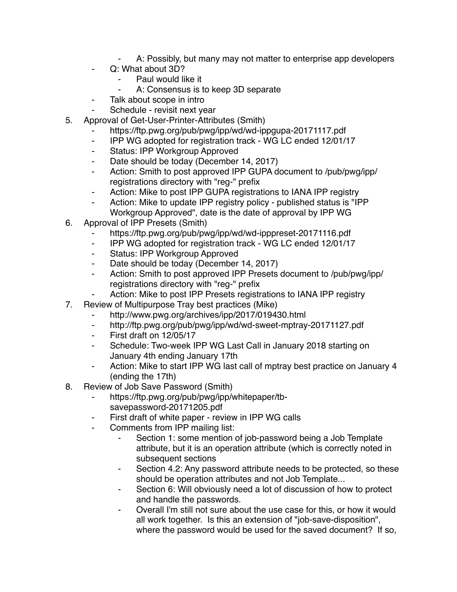- A: Possibly, but many may not matter to enterprise app developers
- Q: What about 3D?
	- Paul would like it
	- A: Consensus is to keep 3D separate
- ⁃ Talk about scope in intro
- Schedule revisit next year
- 5. Approval of Get-User-Printer-Attributes (Smith)
	- https://ftp.pwg.org/pub/pwg/ipp/wd/wd-ippgupa-20171117.pdf
	- ⁃ IPP WG adopted for registration track WG LC ended 12/01/17
	- ⁃ Status: IPP Workgroup Approved
	- ⁃ Date should be today (December 14, 2017)
	- ⁃ Action: Smith to post approved IPP GUPA document to /pub/pwg/ipp/ registrations directory with "reg-" prefix
	- ⁃ Action: Mike to post IPP GUPA registrations to IANA IPP registry
	- Action: Mike to update IPP registry policy published status is "IPP Workgroup Approved", date is the date of approval by IPP WG
- 6. Approval of IPP Presets (Smith)
	- https://ftp.pwg.org/pub/pwg/ipp/wd/wd-ipppreset-20171116.pdf
	- ⁃ IPP WG adopted for registration track WG LC ended 12/01/17
	- ⁃ Status: IPP Workgroup Approved
	- ⁃ Date should be today (December 14, 2017)
	- ⁃ Action: Smith to post approved IPP Presets document to /pub/pwg/ipp/ registrations directory with "reg-" prefix
	- Action: Mike to post IPP Presets registrations to IANA IPP registry
- 7. Review of Multipurpose Tray best practices (Mike)
	- http://www.pwg.org/archives/ipp/2017/019430.html
	- ⁃ http://ftp.pwg.org/pub/pwg/ipp/wd/wd-sweet-mptray-20171127.pdf
	- ⁃ First draft on 12/05/17
	- Schedule: Two-week IPP WG Last Call in January 2018 starting on January 4th ending January 17th
	- ⁃ Action: Mike to start IPP WG last call of mptray best practice on January 4 (ending the 17th)
- 8. Review of Job Save Password (Smith)
	- https://ftp.pwg.org/pub/pwg/ipp/whitepaper/tbsavepassword-20171205.pdf
	- ⁃ First draft of white paper review in IPP WG calls
	- ⁃ Comments from IPP mailing list:
		- Section 1: some mention of job-password being a Job Template attribute, but it is an operation attribute (which is correctly noted in subsequent sections
		- Section 4.2: Any password attribute needs to be protected, so these should be operation attributes and not Job Template...
		- Section 6: Will obviously need a lot of discussion of how to protect and handle the passwords.
		- Overall I'm still not sure about the use case for this, or how it would all work together. Is this an extension of "job-save-disposition", where the password would be used for the saved document? If so,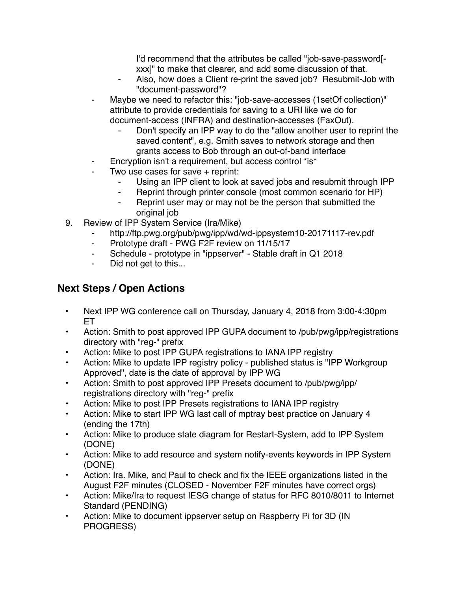I'd recommend that the attributes be called "job-save-password[ xxx]" to make that clearer, and add some discussion of that.

- Also, how does a Client re-print the saved job? Resubmit-Job with "document-password"?
- Maybe we need to refactor this: "job-save-accesses (1setOf collection)" attribute to provide credentials for saving to a URI like we do for document-access (INFRA) and destination-accesses (FaxOut).
	- Don't specify an IPP way to do the "allow another user to reprint the saved content", e.g. Smith saves to network storage and then grants access to Bob through an out-of-band interface
- Encryption isn't a requirement, but access control \*is\*
- ⁃ Two use cases for save + reprint:
	- Using an IPP client to look at saved jobs and resubmit through IPP
	- ⁃ Reprint through printer console (most common scenario for HP)
	- ⁃ Reprint user may or may not be the person that submitted the original job
- 9. Review of IPP System Service (Ira/Mike)
	- http://ftp.pwg.org/pub/pwg/ipp/wd/wd-ippsystem10-20171117-rev.pdf
	- ⁃ Prototype draft PWG F2F review on 11/15/17
	- ⁃ Schedule prototype in "ippserver" Stable draft in Q1 2018
	- ⁃ Did not get to this...

## **Next Steps / Open Actions**

- Next IPP WG conference call on Thursday, January 4, 2018 from 3:00-4:30pm ET
- Action: Smith to post approved IPP GUPA document to /pub/pwg/ipp/registrations directory with "reg-" prefix
- Action: Mike to post IPP GUPA registrations to IANA IPP registry
- Action: Mike to update IPP registry policy published status is "IPP Workgroup Approved", date is the date of approval by IPP WG
- Action: Smith to post approved IPP Presets document to /pub/pwg/ipp/ registrations directory with "reg-" prefix
- Action: Mike to post IPP Presets registrations to IANA IPP registry
- Action: Mike to start IPP WG last call of mptray best practice on January 4 (ending the 17th)
- Action: Mike to produce state diagram for Restart-System, add to IPP System (DONE)
- Action: Mike to add resource and system notify-events keywords in IPP System (DONE)
- Action: Ira. Mike, and Paul to check and fix the IEEE organizations listed in the August F2F minutes (CLOSED - November F2F minutes have correct orgs)
- Action: Mike/Ira to request IESG change of status for RFC 8010/8011 to Internet Standard (PENDING)
- Action: Mike to document ippserver setup on Raspberry Pi for 3D (IN PROGRESS)